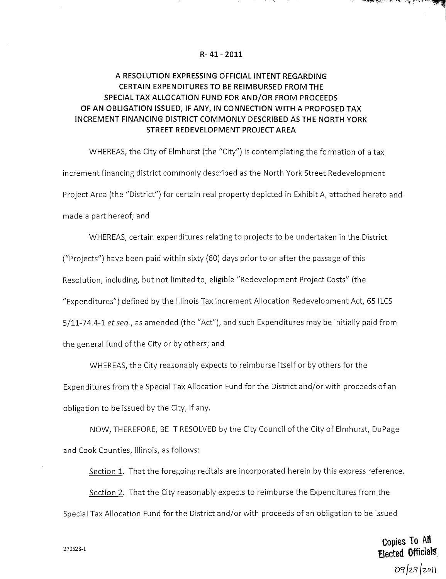## **R- 41 - 2011**

## **A RESOLUTION EXPRESSING OFFICIAL INTENT REGARDING CERTAIN EXPENDITURES TO BE REIMBURSED FROM THE SPECIAL TAX ALLOCATION FUND FOR AND/OR FROM PROCEEDS OF AN OBLIGATION ISSUED, IF ANY, IN CONNECTION WITH A PROPOSED TAX INCREMENT FINANCING DISTRICT COMMONLY DESCRIBED AS THE NORTH YORK STREET REDEVELOPMENT PROJECT AREA**

WHEREAS, the City of Elmhurst (the "City") is contemplating the formation of a tax increment financing district commonly described as the North York Street Redevelopment Project Area (the "District") for certain real property depicted in Exhibit A, attached hereto and made a part hereof; and

WHEREAS, certain expenditures relating to projects to be undertaken in the District ("Projects") have been paid within sixty (60) days prior to or after the passage of this Resolution, including, but not limited to, eligible "Redevelopment Project Costs" (the "Expenditures") defined by the Illinois Tax Increment Allocation Redevelopment Act, 65 ILCS 5/11-74.4-1 et seq., as amended (the "Act"), and such Expenditures may be initially paid from the general fund of the City or by others; and

WHEREAS, the City reasonably expects to reimburse itself or by others for the Expenditures from the Special Tax Allocation Fund for the District and/or with proceeds of an obligation to be issued by the City, if any.

NOW, THEREFORE, BE IT RESOLVED by the City Council of the City of Elmhurst, DuPage and Cook Counties, Illinois, as follows:

Section 1. That the foregoing recitals are incorporated herein by this express reference.

Section 2. That the City reasonably expects to reimburse the Expenditures from the Special Tax Allocation Fund for the District and/or with proceeds of an obligation to be issued

> Copies To AH Elected Officials  $09/29/201$

هريسان المحافظة فالمتحل المتحارين والمتحاربة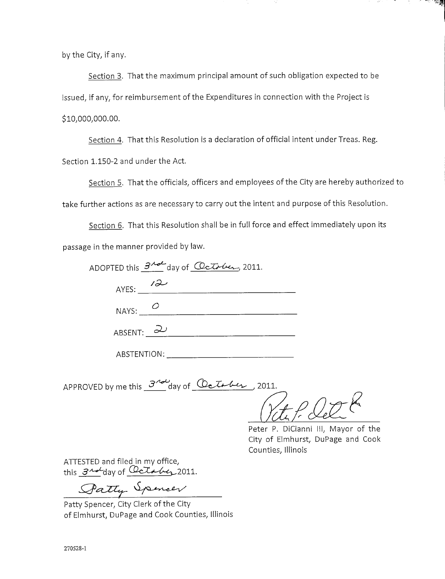by the City, if any.

Section 3. That the maximum principal amount of such obligation expected to be issued, if any, for reimbursement of the Expenditures in connection with the Project is \$10,000,000.00.

Section 4. That this Resolution is a declaration of official intent under Treas. Reg. Section 1.150-2 and under the Act.

Section 5. That the officials, officers and employees of the City are hereby authorized to take further actions as are necessary to carry out the intent and purpose of this Resolution.

Section 6. That this Resolution shall be in full force and effect immediately upon its passage in the manner provided by law.

| ADOPTED this $3^{A}$ day of Clarker, 2011. |  |
|--------------------------------------------|--|
| AYES: $12$                                 |  |
| NAYS: $O$                                  |  |
| ABSENT: $\overline{2}$                     |  |
| ABSTENTION:                                |  |

APPROVED by me this  $3^{700}$ day of  $\omega t$ to besteed the 2011.

**PARTIES AND PROPERTY** 

Peter P. DiCianni III, Mayor of the City of Elmhurst, DuPage and Cook Counties, Illinois

ATTESTED and filed in my office, this  $3^{nd}$ day of Cetabez 2011.

Patty Spencer

Patty Spencer, City Clerk of the City of Elmhurst, DuPage and Cook Counties, Illinois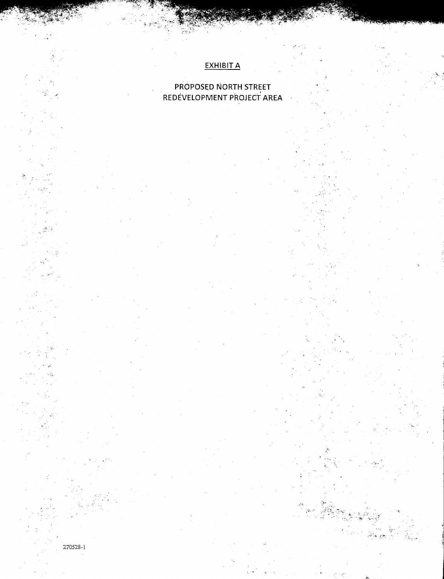## **EXHIBIT A**

## PROPOSED NORTH STREET REDEVELOPMENT PROJECT AREA

270528-1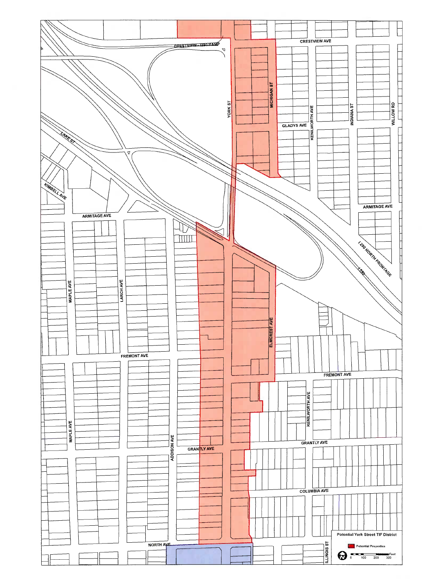